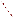